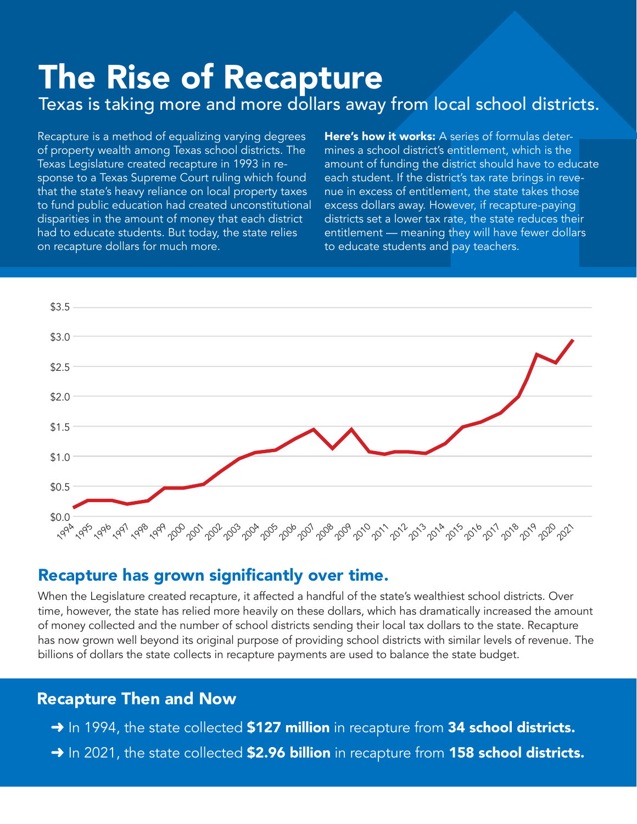# Texas is taking more and more dollars away from local school districts.

The Rise of Recap**ture**<br>Texas is taking more and more dollars away from local school districts.<br>Recapture is a method of equalizing varying degrees Here's how it works: A series of formulas deter-<br>of property wealth among Recapture is a method of equalizing varying degrees of property wealth among Texas school districts. The Texas Legislature created recapture in 1993 in response to a Texas Supreme Court ruling which found that the state's heavy reliance on local property taxes to fund public education had created unconstitutional disparities in the amount of money that each district had to educate students. But today, the state relies on recapture dollars for much more.

Here's how it works: A series of formulas determines a school district's entitlement, which is the amount of funding the district should have to educate each student. If the district's tax rate brings in revenue in excess of entitlement, the state takes those excess dollars away. However, if recapture-paying districts set a lower tax rate, the state reduces their entitlement — meaning they will have fewer dollars to educate students and pay teachers.



## Recapture has grown significantly over time.

When the Legislature created recapture, it affected a handful of the state's wealthiest school districts. Over time, however, the state has relied more heavily on these dollars, which has dramatically increased the amount of money collected and the number of school districts sending their local tax dollars to the state. Recapture has now grown well beyond its original purpose of providing school districts with similar levels of revenue. The billions of dollars the state collects in recapture payments are used to balance the state budget.

### Recapture Then and Now

- → In 1994, the state collected \$127 million in recapture from 34 school districts.
- → In 2021, the state collected \$2.96 billion in recapture from 158 school districts.